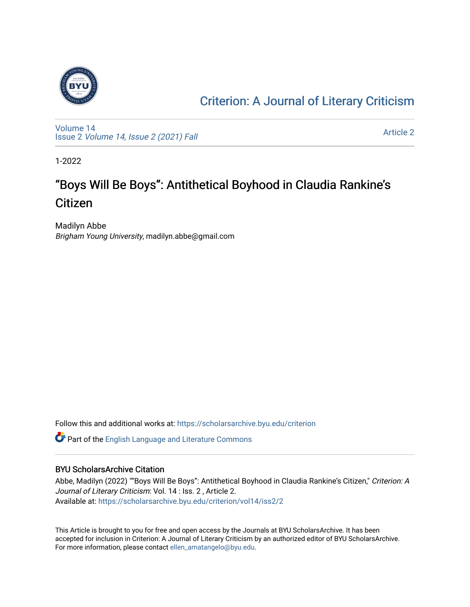

### [Criterion: A Journal of Literary Criticism](https://scholarsarchive.byu.edu/criterion)

[Volume 14](https://scholarsarchive.byu.edu/criterion/vol14) Issue 2 [Volume 14, Issue 2 \(2021\) Fall](https://scholarsarchive.byu.edu/criterion/vol14/iss2)

[Article 2](https://scholarsarchive.byu.edu/criterion/vol14/iss2/2) 

1-2022

## "Boys Will Be Boys": Antithetical Boyhood in Claudia Rankine's Citizen

Madilyn Abbe Brigham Young University, madilyn.abbe@gmail.com

Follow this and additional works at: [https://scholarsarchive.byu.edu/criterion](https://scholarsarchive.byu.edu/criterion?utm_source=scholarsarchive.byu.edu%2Fcriterion%2Fvol14%2Fiss2%2F2&utm_medium=PDF&utm_campaign=PDFCoverPages) 

Part of the [English Language and Literature Commons](http://network.bepress.com/hgg/discipline/455?utm_source=scholarsarchive.byu.edu%2Fcriterion%2Fvol14%2Fiss2%2F2&utm_medium=PDF&utm_campaign=PDFCoverPages)

#### BYU ScholarsArchive Citation

Abbe, Madilyn (2022) ""Boys Will Be Boys": Antithetical Boyhood in Claudia Rankine's Citizen," Criterion: A Journal of Literary Criticism: Vol. 14 : Iss. 2 , Article 2. Available at: [https://scholarsarchive.byu.edu/criterion/vol14/iss2/2](https://scholarsarchive.byu.edu/criterion/vol14/iss2/2?utm_source=scholarsarchive.byu.edu%2Fcriterion%2Fvol14%2Fiss2%2F2&utm_medium=PDF&utm_campaign=PDFCoverPages)

This Article is brought to you for free and open access by the Journals at BYU ScholarsArchive. It has been accepted for inclusion in Criterion: A Journal of Literary Criticism by an authorized editor of BYU ScholarsArchive. For more information, please contact [ellen\\_amatangelo@byu.edu.](mailto:ellen_amatangelo@byu.edu)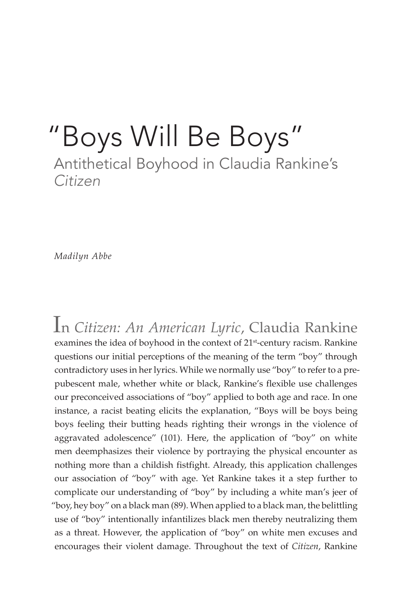## "Boys Will Be Boys" Antithetical Boyhood in Claudia Rankine's *Citizen*

*Madilyn Abbe*

In *Citizen: An American Lyric*, Claudia Rankine examines the idea of boyhood in the context of 21<sup>st</sup>-century racism. Rankine questions our initial perceptions of the meaning of the term "boy" through contradictory uses in her lyrics. While we normally use "boy" to refer to a prepubescent male, whether white or black, Rankine's flexible use challenges our preconceived associations of "boy" applied to both age and race. In one instance, a racist beating elicits the explanation, "Boys will be boys being boys feeling their butting heads righting their wrongs in the violence of aggravated adolescence" (101). Here, the application of "boy" on white men deemphasizes their violence by portraying the physical encounter as nothing more than a childish fistfight. Already, this application challenges our association of "boy" with age. Yet Rankine takes it a step further to complicate our understanding of "boy" by including a white man's jeer of "boy, hey boy" on a black man (89). When applied to a black man, the belittling use of "boy" intentionally infantilizes black men thereby neutralizing them as a threat. However, the application of "boy" on white men excuses and encourages their violent damage. Throughout the text of *Citizen*, Rankine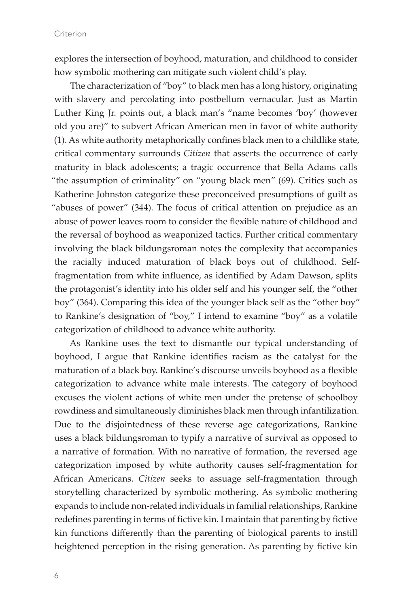explores the intersection of boyhood, maturation, and childhood to consider how symbolic mothering can mitigate such violent child's play.

The characterization of "boy" to black men has a long history, originating with slavery and percolating into postbellum vernacular. Just as Martin Luther King Jr. points out, a black man's "name becomes 'boy' (however old you are)" to subvert African American men in favor of white authority (1). As white authority metaphorically confines black men to a childlike state, critical commentary surrounds *Citizen* that asserts the occurrence of early maturity in black adolescents; a tragic occurrence that Bella Adams calls "the assumption of criminality" on "young black men" (69). Critics such as Katherine Johnston categorize these preconceived presumptions of guilt as "abuses of power" (344). The focus of critical attention on prejudice as an abuse of power leaves room to consider the flexible nature of childhood and the reversal of boyhood as weaponized tactics. Further critical commentary involving the black bildungsroman notes the complexity that accompanies the racially induced maturation of black boys out of childhood. Selffragmentation from white influence, as identified by Adam Dawson, splits the protagonist's identity into his older self and his younger self, the "other boy" (364). Comparing this idea of the younger black self as the "other boy" to Rankine's designation of "boy," I intend to examine "boy" as a volatile categorization of childhood to advance white authority.

As Rankine uses the text to dismantle our typical understanding of boyhood, I argue that Rankine identifies racism as the catalyst for the maturation of a black boy. Rankine's discourse unveils boyhood as a flexible categorization to advance white male interests. The category of boyhood excuses the violent actions of white men under the pretense of schoolboy rowdiness and simultaneously diminishes black men through infantilization. Due to the disjointedness of these reverse age categorizations, Rankine uses a black bildungsroman to typify a narrative of survival as opposed to a narrative of formation. With no narrative of formation, the reversed age categorization imposed by white authority causes self-fragmentation for African Americans. *Citizen* seeks to assuage self-fragmentation through storytelling characterized by symbolic mothering. As symbolic mothering expands to include non-related individuals in familial relationships, Rankine redefines parenting in terms of fictive kin. I maintain that parenting by fictive kin functions differently than the parenting of biological parents to instill heightened perception in the rising generation. As parenting by fictive kin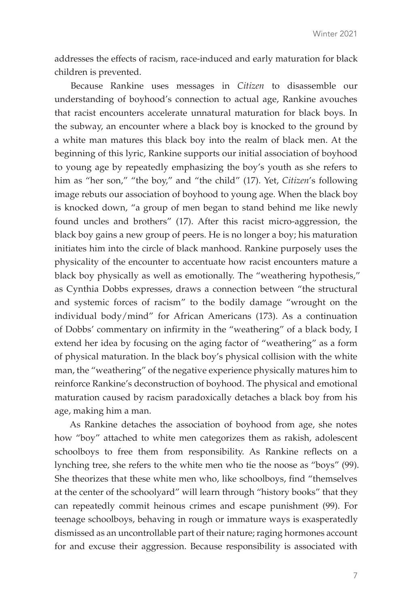addresses the effects of racism, race-induced and early maturation for black children is prevented.

Because Rankine uses messages in *Citizen* to disassemble our understanding of boyhood's connection to actual age, Rankine avouches that racist encounters accelerate unnatural maturation for black boys. In the subway, an encounter where a black boy is knocked to the ground by a white man matures this black boy into the realm of black men. At the beginning of this lyric, Rankine supports our initial association of boyhood to young age by repeatedly emphasizing the boy's youth as she refers to him as "her son," "the boy," and "the child" (17). Yet, *Citizen*'s following image rebuts our association of boyhood to young age. When the black boy is knocked down, "a group of men began to stand behind me like newly found uncles and brothers" (17). After this racist micro-aggression, the black boy gains a new group of peers. He is no longer a boy; his maturation initiates him into the circle of black manhood. Rankine purposely uses the physicality of the encounter to accentuate how racist encounters mature a black boy physically as well as emotionally. The "weathering hypothesis," as Cynthia Dobbs expresses, draws a connection between "the structural and systemic forces of racism" to the bodily damage "wrought on the individual body/mind" for African Americans (173). As a continuation of Dobbs' commentary on infirmity in the "weathering" of a black body, I extend her idea by focusing on the aging factor of "weathering" as a form of physical maturation. In the black boy's physical collision with the white man, the "weathering" of the negative experience physically matures him to reinforce Rankine's deconstruction of boyhood. The physical and emotional maturation caused by racism paradoxically detaches a black boy from his age, making him a man.

As Rankine detaches the association of boyhood from age, she notes how "boy" attached to white men categorizes them as rakish, adolescent schoolboys to free them from responsibility. As Rankine reflects on a lynching tree, she refers to the white men who tie the noose as "boys" (99). She theorizes that these white men who, like schoolboys, find "themselves at the center of the schoolyard" will learn through "history books" that they can repeatedly commit heinous crimes and escape punishment (99). For teenage schoolboys, behaving in rough or immature ways is exasperatedly dismissed as an uncontrollable part of their nature; raging hormones account for and excuse their aggression. Because responsibility is associated with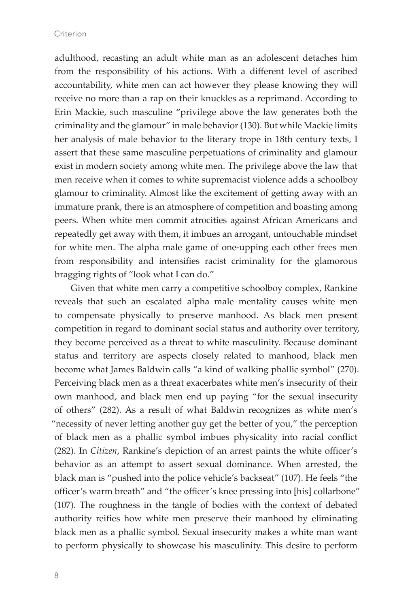adulthood, recasting an adult white man as an adolescent detaches him from the responsibility of his actions. With a different level of ascribed accountability, white men can act however they please knowing they will receive no more than a rap on their knuckles as a reprimand. According to Erin Mackie, such masculine "privilege above the law generates both the criminality and the glamour" in male behavior (130). But while Mackie limits her analysis of male behavior to the literary trope in 18th century texts, I assert that these same masculine perpetuations of criminality and glamour exist in modern society among white men. The privilege above the law that men receive when it comes to white supremacist violence adds a schoolboy glamour to criminality. Almost like the excitement of getting away with an immature prank, there is an atmosphere of competition and boasting among peers. When white men commit atrocities against African Americans and repeatedly get away with them, it imbues an arrogant, untouchable mindset for white men. The alpha male game of one-upping each other frees men from responsibility and intensifies racist criminality for the glamorous bragging rights of "look what I can do."

Given that white men carry a competitive schoolboy complex, Rankine reveals that such an escalated alpha male mentality causes white men to compensate physically to preserve manhood. As black men present competition in regard to dominant social status and authority over territory, they become perceived as a threat to white masculinity. Because dominant status and territory are aspects closely related to manhood, black men become what James Baldwin calls "a kind of walking phallic symbol" (270). Perceiving black men as a threat exacerbates white men's insecurity of their own manhood, and black men end up paying "for the sexual insecurity of others" (282). As a result of what Baldwin recognizes as white men's "necessity of never letting another guy get the better of you," the perception of black men as a phallic symbol imbues physicality into racial conflict (282). In *Citizen*, Rankine's depiction of an arrest paints the white officer's behavior as an attempt to assert sexual dominance. When arrested, the black man is "pushed into the police vehicle's backseat" (107). He feels "the officer's warm breath" and "the officer's knee pressing into [his] collarbone" (107). The roughness in the tangle of bodies with the context of debated authority reifies how white men preserve their manhood by eliminating black men as a phallic symbol. Sexual insecurity makes a white man want to perform physically to showcase his masculinity. This desire to perform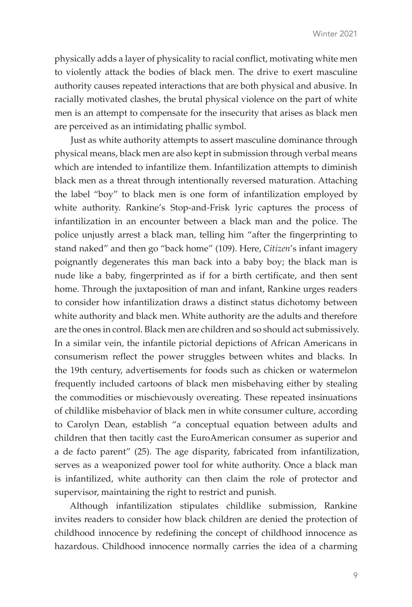physically adds a layer of physicality to racial conflict, motivating white men to violently attack the bodies of black men. The drive to exert masculine authority causes repeated interactions that are both physical and abusive. In racially motivated clashes, the brutal physical violence on the part of white men is an attempt to compensate for the insecurity that arises as black men are perceived as an intimidating phallic symbol.

Just as white authority attempts to assert masculine dominance through physical means, black men are also kept in submission through verbal means which are intended to infantilize them. Infantilization attempts to diminish black men as a threat through intentionally reversed maturation. Attaching the label "boy" to black men is one form of infantilization employed by white authority. Rankine's Stop-and-Frisk lyric captures the process of infantilization in an encounter between a black man and the police. The police unjustly arrest a black man, telling him "after the fingerprinting to stand naked" and then go "back home" (109). Here, *Citizen*'s infant imagery poignantly degenerates this man back into a baby boy; the black man is nude like a baby, fingerprinted as if for a birth certificate, and then sent home. Through the juxtaposition of man and infant, Rankine urges readers to consider how infantilization draws a distinct status dichotomy between white authority and black men. White authority are the adults and therefore are the ones in control. Black men are children and so should act submissively. In a similar vein, the infantile pictorial depictions of African Americans in consumerism reflect the power struggles between whites and blacks. In the 19th century, advertisements for foods such as chicken or watermelon frequently included cartoons of black men misbehaving either by stealing the commodities or mischievously overeating. These repeated insinuations of childlike misbehavior of black men in white consumer culture, according to Carolyn Dean, establish "a conceptual equation between adults and children that then tacitly cast the EuroAmerican consumer as superior and a de facto parent" (25). The age disparity, fabricated from infantilization, serves as a weaponized power tool for white authority. Once a black man is infantilized, white authority can then claim the role of protector and supervisor, maintaining the right to restrict and punish.

Although infantilization stipulates childlike submission, Rankine invites readers to consider how black children are denied the protection of childhood innocence by redefining the concept of childhood innocence as hazardous. Childhood innocence normally carries the idea of a charming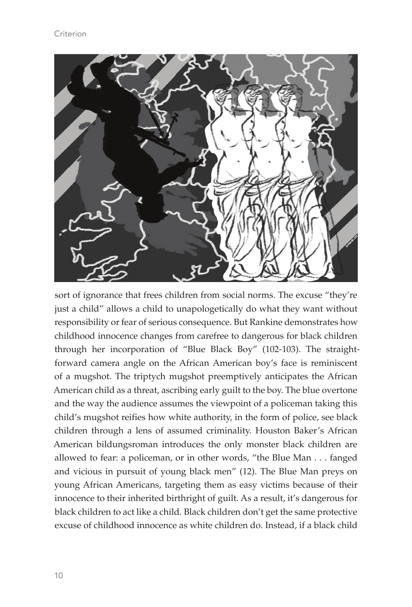

sort of ignorance that frees children from social norms. The excuse "they're just a child" allows a child to unapologetically do what they want without responsibility or fear of serious consequence. But Rankine demonstrates how childhood innocence changes from carefree to dangerous for black children through her incorporation of "Blue Black Boy" (102-103). The straightforward camera angle on the African American boy's face is reminiscent of a mugshot. The triptych mugshot preemptively anticipates the African American child as a threat, ascribing early guilt to the boy. The blue overtone and the way the audience assumes the viewpoint of a policeman taking this child's mugshot reifies how white authority, in the form of police, see black children through a lens of assumed criminality. Houston Baker's African American bildungsroman introduces the only monster black children are allowed to fear: a policeman, or in other words, "the Blue Man . . . fanged and vicious in pursuit of young black men" (12). The Blue Man preys on young African Americans, targeting them as easy victims because of their innocence to their inherited birthright of guilt. As a result, it's dangerous for black children to act like a child. Black children don't get the same protective excuse of childhood innocence as white children do. Instead, if a black child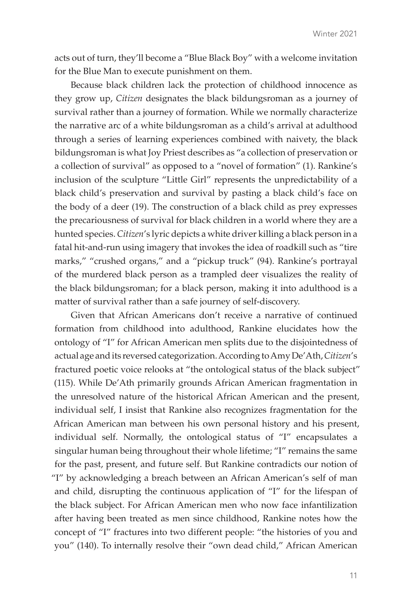acts out of turn, they'll become a "Blue Black Boy" with a welcome invitation for the Blue Man to execute punishment on them.

Because black children lack the protection of childhood innocence as they grow up, *Citizen* designates the black bildungsroman as a journey of survival rather than a journey of formation. While we normally characterize the narrative arc of a white bildungsroman as a child's arrival at adulthood through a series of learning experiences combined with naivety, the black bildungsroman is what Joy Priest describes as "a collection of preservation or a collection of survival" as opposed to a "novel of formation" (1). Rankine's inclusion of the sculpture "Little Girl" represents the unpredictability of a black child's preservation and survival by pasting a black child's face on the body of a deer (19). The construction of a black child as prey expresses the precariousness of survival for black children in a world where they are a hunted species. *Citizen*'s lyric depicts a white driver killing a black person in a fatal hit-and-run using imagery that invokes the idea of roadkill such as "tire marks," "crushed organs," and a "pickup truck" (94). Rankine's portrayal of the murdered black person as a trampled deer visualizes the reality of the black bildungsroman; for a black person, making it into adulthood is a matter of survival rather than a safe journey of self-discovery.

Given that African Americans don't receive a narrative of continued formation from childhood into adulthood, Rankine elucidates how the ontology of "I" for African American men splits due to the disjointedness of actual age and its reversed categorization. According to Amy De'Ath, *Citizen*'s fractured poetic voice relooks at "the ontological status of the black subject" (115). While De'Ath primarily grounds African American fragmentation in the unresolved nature of the historical African American and the present, individual self, I insist that Rankine also recognizes fragmentation for the African American man between his own personal history and his present, individual self. Normally, the ontological status of "I" encapsulates a singular human being throughout their whole lifetime; "I" remains the same for the past, present, and future self. But Rankine contradicts our notion of "I" by acknowledging a breach between an African American's self of man and child, disrupting the continuous application of "I" for the lifespan of the black subject. For African American men who now face infantilization after having been treated as men since childhood, Rankine notes how the concept of "I" fractures into two different people: "the histories of you and you" (140). To internally resolve their "own dead child," African American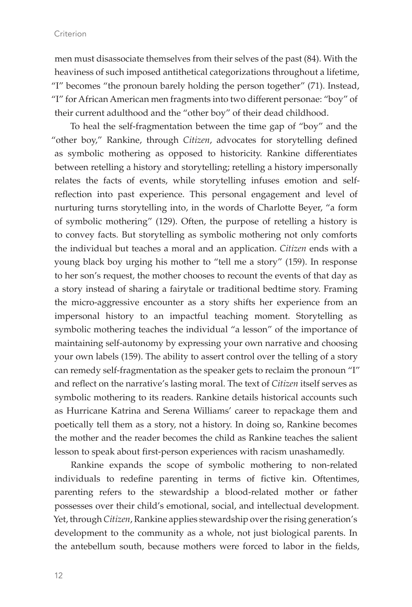men must disassociate themselves from their selves of the past (84). With the heaviness of such imposed antithetical categorizations throughout a lifetime, "I" becomes "the pronoun barely holding the person together" (71). Instead, "I" for African American men fragments into two different personae: "boy" of their current adulthood and the "other boy" of their dead childhood.

To heal the self-fragmentation between the time gap of "boy" and the "other boy," Rankine, through *Citizen*, advocates for storytelling defined as symbolic mothering as opposed to historicity. Rankine differentiates between retelling a history and storytelling; retelling a history impersonally relates the facts of events, while storytelling infuses emotion and selfreflection into past experience. This personal engagement and level of nurturing turns storytelling into, in the words of Charlotte Beyer, "a form of symbolic mothering" (129). Often, the purpose of retelling a history is to convey facts. But storytelling as symbolic mothering not only comforts the individual but teaches a moral and an application. *Citizen* ends with a young black boy urging his mother to "tell me a story" (159). In response to her son's request, the mother chooses to recount the events of that day as a story instead of sharing a fairytale or traditional bedtime story. Framing the micro-aggressive encounter as a story shifts her experience from an impersonal history to an impactful teaching moment. Storytelling as symbolic mothering teaches the individual "a lesson" of the importance of maintaining self-autonomy by expressing your own narrative and choosing your own labels (159). The ability to assert control over the telling of a story can remedy self-fragmentation as the speaker gets to reclaim the pronoun "I" and reflect on the narrative's lasting moral. The text of *Citizen* itself serves as symbolic mothering to its readers. Rankine details historical accounts such as Hurricane Katrina and Serena Williams' career to repackage them and poetically tell them as a story, not a history. In doing so, Rankine becomes the mother and the reader becomes the child as Rankine teaches the salient lesson to speak about first-person experiences with racism unashamedly.

Rankine expands the scope of symbolic mothering to non-related individuals to redefine parenting in terms of fictive kin. Oftentimes, parenting refers to the stewardship a blood-related mother or father possesses over their child's emotional, social, and intellectual development. Yet, through *Citizen*, Rankine applies stewardship over the rising generation's development to the community as a whole, not just biological parents. In the antebellum south, because mothers were forced to labor in the fields,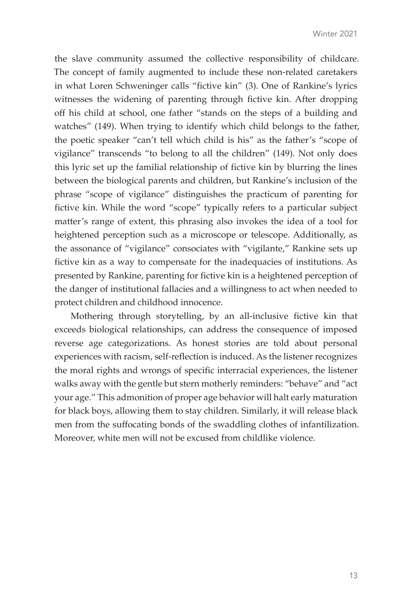the slave community assumed the collective responsibility of childcare. The concept of family augmented to include these non-related caretakers in what Loren Schweninger calls "fictive kin" (3). One of Rankine's lyrics witnesses the widening of parenting through fictive kin. After dropping off his child at school, one father "stands on the steps of a building and watches" (149). When trying to identify which child belongs to the father, the poetic speaker "can't tell which child is his" as the father's "scope of vigilance" transcends "to belong to all the children" (149). Not only does this lyric set up the familial relationship of fictive kin by blurring the lines between the biological parents and children, but Rankine's inclusion of the phrase "scope of vigilance" distinguishes the practicum of parenting for fictive kin. While the word "scope" typically refers to a particular subject matter's range of extent, this phrasing also invokes the idea of a tool for heightened perception such as a microscope or telescope. Additionally, as the assonance of "vigilance" consociates with "vigilante," Rankine sets up fictive kin as a way to compensate for the inadequacies of institutions. As presented by Rankine, parenting for fictive kin is a heightened perception of the danger of institutional fallacies and a willingness to act when needed to protect children and childhood innocence.

Mothering through storytelling, by an all-inclusive fictive kin that exceeds biological relationships, can address the consequence of imposed reverse age categorizations. As honest stories are told about personal experiences with racism, self-reflection is induced. As the listener recognizes the moral rights and wrongs of specific interracial experiences, the listener walks away with the gentle but stern motherly reminders: "behave" and "act your age." This admonition of proper age behavior will halt early maturation for black boys, allowing them to stay children. Similarly, it will release black men from the suffocating bonds of the swaddling clothes of infantilization. Moreover, white men will not be excused from childlike violence.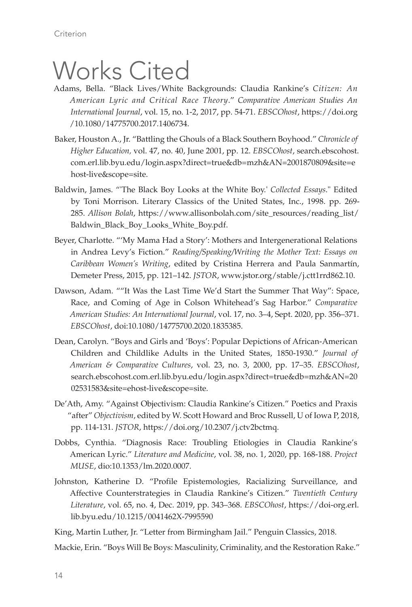# Works Cited

- Adams, Bella. "Black Lives/White Backgrounds: Claudia Rankine's *Citizen: An American Lyric and Critical Race Theory*." *Comparative American Studies An International Journal*, vol. 15, no. 1-2, 2017, pp. 54-71. *EBSCOhost*, https://doi.org /10.1080/14775700.2017.1406734.
- Baker, Houston A., Jr. "Battling the Ghouls of a Black Southern Boyhood." *Chronicle of Higher Education,* vol. 47, no. 40, June 2001, pp. 12. *EBSCOhost*, search.ebscohost. com.erl.lib.byu.edu/login.aspx?direct=true&db=mzh&AN=2001870809&site=e host-live&scope=site.
- Baldwin, James. "'The Black Boy Looks at the White Boy.' *Collected Essays*." Edited by Toni Morrison. Literary Classics of the United States, Inc., 1998. pp. 269- 285. *Allison Bolah*, https://www.allisonbolah.com/site\_resources/reading\_list/ Baldwin\_Black\_Boy\_Looks\_White\_Boy.pdf.
- Beyer, Charlotte. "'My Mama Had a Story': Mothers and Intergenerational Relations in Andrea Levy's Fiction." *Reading/Speaking/Writing the Mother Text: Essays on Caribbean Women's Writing*, edited by Cristina Herrera and Paula Sanmartín, Demeter Press, 2015, pp. 121–142. *JSTOR*, www.jstor.org/stable/j.ctt1rrd862.10.
- Dawson, Adam. ""It Was the Last Time We'd Start the Summer That Way": Space, Race, and Coming of Age in Colson Whitehead's Sag Harbor." *Comparative American Studies: An International Journal*, vol. 17, no. 3–4, Sept. 2020, pp. 356–371. *EBSCOhost*, doi:10.1080/14775700.2020.1835385.
- Dean, Carolyn. "Boys and Girls and 'Boys': Popular Depictions of African-American Children and Childlike Adults in the United States, 1850-1930." *Journal of American & Comparative Cultures*, vol. 23, no. 3, 2000, pp. 17–35. *EBSCOhost*, search.ebscohost.com.erl.lib.byu.edu/login.aspx?direct=true&db=mzh&AN=20 02531583&site=ehost-live&scope=site.
- De'Ath, Amy. "Against Objectivism: Claudia Rankine's Citizen." Poetics and Praxis "after" *Objectivism*, edited by W. Scott Howard and Broc Russell, U of Iowa P, 2018, pp. 114-131. *JSTOR*, https://doi.org/10.2307/j.ctv2bctmq.
- Dobbs, Cynthia. "Diagnosis Race: Troubling Etiologies in Claudia Rankine's American Lyric." *Literature and Medicine*, vol. 38, no. 1, 2020, pp. 168-188. *Project MUSE*, dio:10.1353/lm.2020.0007.
- Johnston, Katherine D. "Profile Epistemologies, Racializing Surveillance, and Affective Counterstrategies in Claudia Rankine's Citizen." *Twentieth Century Literature*, vol. 65, no. 4, Dec. 2019, pp. 343–368. *EBSCOhost*, https://doi-org.erl. lib.byu.edu/10.1215/0041462X-7995590
- King, Martin Luther, Jr. "Letter from Birmingham Jail." Penguin Classics, 2018.

Mackie, Erin. "Boys Will Be Boys: Masculinity, Criminality, and the Restoration Rake."